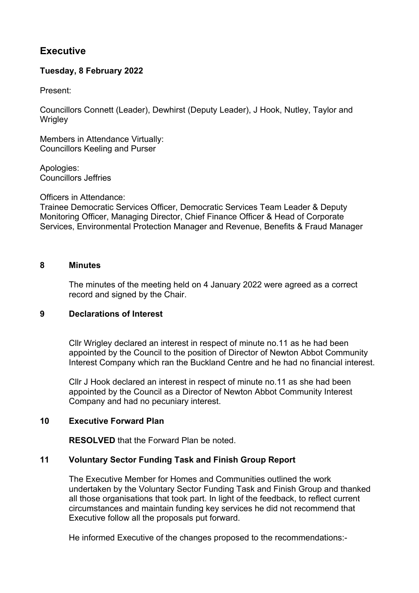# **Executive**

# **Tuesday, 8 February 2022**

Present:

Councillors Connett (Leader), Dewhirst (Deputy Leader), J Hook, Nutley, Taylor and **Wrigley** 

Members in Attendance Virtually: Councillors Keeling and Purser

Apologies: Councillors Jeffries

Officers in Attendance:

Trainee Democratic Services Officer, Democratic Services Team Leader & Deputy Monitoring Officer, Managing Director, Chief Finance Officer & Head of Corporate Services, Environmental Protection Manager and Revenue, Benefits & Fraud Manager

#### **8 Minutes**

The minutes of the meeting held on 4 January 2022 were agreed as a correct record and signed by the Chair.

## **9 Declarations of Interest**

Cllr Wrigley declared an interest in respect of minute no.11 as he had been appointed by the Council to the position of Director of Newton Abbot Community Interest Company which ran the Buckland Centre and he had no financial interest.

Cllr J Hook declared an interest in respect of minute no.11 as she had been appointed by the Council as a Director of Newton Abbot Community Interest Company and had no pecuniary interest.

#### **10 Executive Forward Plan**

**RESOLVED** that the Forward Plan be noted.

## **11 Voluntary Sector Funding Task and Finish Group Report**

The Executive Member for Homes and Communities outlined the work undertaken by the Voluntary Sector Funding Task and Finish Group and thanked all those organisations that took part. In light of the feedback, to reflect current circumstances and maintain funding key services he did not recommend that Executive follow all the proposals put forward.

He informed Executive of the changes proposed to the recommendations:-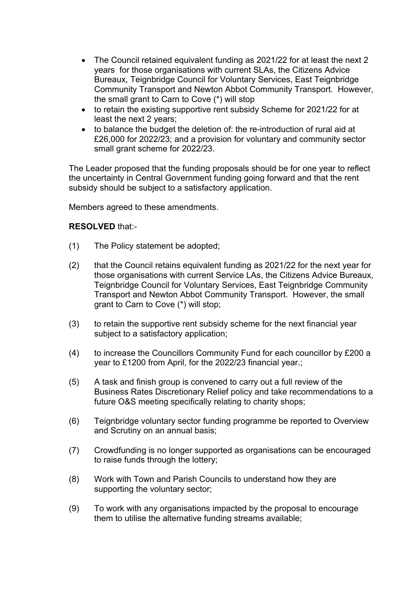- The Council retained equivalent funding as 2021/22 for at least the next 2 years for those organisations with current SLAs, the Citizens Advice Bureaux, Teignbridge Council for Voluntary Services, East Teignbridge Community Transport and Newton Abbot Community Transport. However, the small grant to Carn to Cove (\*) will stop
- to retain the existing supportive rent subsidy Scheme for 2021/22 for at least the next 2 years;
- to balance the budget the deletion of: the re-introduction of rural aid at £26,000 for 2022/23; and a provision for voluntary and community sector small grant scheme for 2022/23.

The Leader proposed that the funding proposals should be for one year to reflect the uncertainty in Central Government funding going forward and that the rent subsidy should be subject to a satisfactory application.

Members agreed to these amendments.

## **RESOLVED** that:-

- (1) The Policy statement be adopted;
- (2) that the Council retains equivalent funding as 2021/22 for the next year for those organisations with current Service LAs, the Citizens Advice Bureaux, Teignbridge Council for Voluntary Services, East Teignbridge Community Transport and Newton Abbot Community Transport. However, the small grant to Carn to Cove (\*) will stop;
- (3) to retain the supportive rent subsidy scheme for the next financial year subject to a satisfactory application;
- (4) to increase the Councillors Community Fund for each councillor by £200 a year to £1200 from April, for the 2022/23 financial year.;
- (5) A task and finish group is convened to carry out a full review of the Business Rates Discretionary Relief policy and take recommendations to a future O&S meeting specifically relating to charity shops;
- (6) Teignbridge voluntary sector funding programme be reported to Overview and Scrutiny on an annual basis;
- (7) Crowdfunding is no longer supported as organisations can be encouraged to raise funds through the lottery;
- (8) Work with Town and Parish Councils to understand how they are supporting the voluntary sector;
- (9) To work with any organisations impacted by the proposal to encourage them to utilise the alternative funding streams available;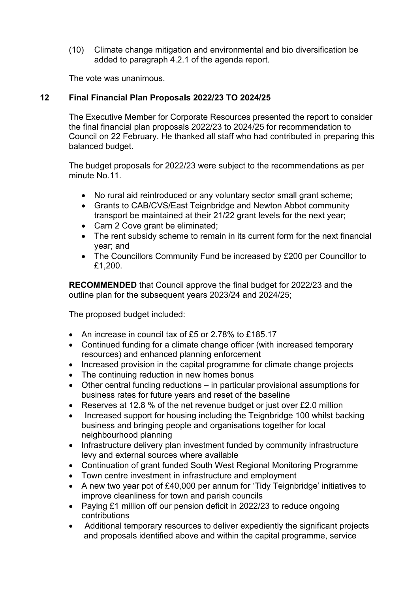(10) Climate change mitigation and environmental and bio diversification be added to paragraph 4.2.1 of the agenda report.

The vote was unanimous.

## **12 Final Financial Plan Proposals 2022/23 TO 2024/25**

The Executive Member for Corporate Resources presented the report to consider the final financial plan proposals 2022/23 to 2024/25 for recommendation to Council on 22 February. He thanked all staff who had contributed in preparing this balanced budget.

The budget proposals for 2022/23 were subject to the recommendations as per minute No.11.

- No rural aid reintroduced or any voluntary sector small grant scheme;
- Grants to CAB/CVS/East Teignbridge and Newton Abbot community transport be maintained at their 21/22 grant levels for the next year;
- Carn 2 Cove grant be eliminated;
- The rent subsidy scheme to remain in its current form for the next financial year; and
- The Councillors Community Fund be increased by £200 per Councillor to £1,200.

**RECOMMENDED** that Council approve the final budget for 2022/23 and the outline plan for the subsequent years 2023/24 and 2024/25;

The proposed budget included:

- An increase in council tax of £5 or 2.78% to £185.17
- Continued funding for a climate change officer (with increased temporary resources) and enhanced planning enforcement
- Increased provision in the capital programme for climate change projects
- The continuing reduction in new homes bonus
- Other central funding reductions in particular provisional assumptions for business rates for future years and reset of the baseline
- Reserves at 12.8 % of the net revenue budget or just over £2.0 million
- Increased support for housing including the Teignbridge 100 whilst backing business and bringing people and organisations together for local neighbourhood planning
- Infrastructure delivery plan investment funded by community infrastructure levy and external sources where available
- Continuation of grant funded South West Regional Monitoring Programme
- Town centre investment in infrastructure and employment
- A new two year pot of £40,000 per annum for 'Tidy Teignbridge' initiatives to improve cleanliness for town and parish councils
- Paving £1 million off our pension deficit in 2022/23 to reduce ongoing contributions
- Additional temporary resources to deliver expediently the significant projects and proposals identified above and within the capital programme, service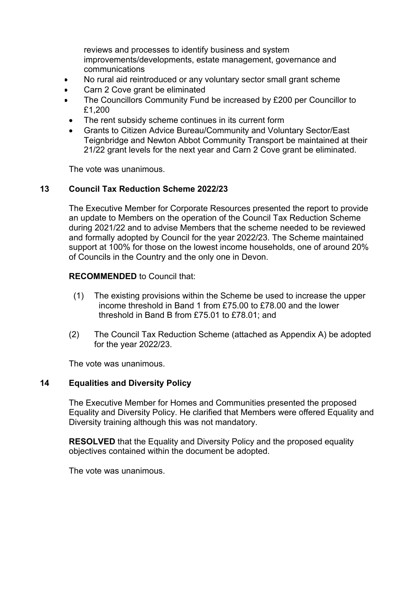reviews and processes to identify business and system improvements/developments, estate management, governance and communications

- No rural aid reintroduced or any voluntary sector small grant scheme
- Carn 2 Cove grant be eliminated
- The Councillors Community Fund be increased by £200 per Councillor to £1,200
- The rent subsidy scheme continues in its current form
- Grants to Citizen Advice Bureau/Community and Voluntary Sector/East Teignbridge and Newton Abbot Community Transport be maintained at their 21/22 grant levels for the next year and Carn 2 Cove grant be eliminated.

The vote was unanimous.

## **13 Council Tax Reduction Scheme 2022/23**

The Executive Member for Corporate Resources presented the report to provide an update to Members on the operation of the Council Tax Reduction Scheme during 2021/22 and to advise Members that the scheme needed to be reviewed and formally adopted by Council for the year 2022/23. The Scheme maintained support at 100% for those on the lowest income households, one of around 20% of Councils in the Country and the only one in Devon.

## **RECOMMENDED** to Council that:

- (1) The existing provisions within the Scheme be used to increase the upper income threshold in Band 1 from £75.00 to £78.00 and the lower threshold in Band B from £75.01 to £78.01; and
- (2) The Council Tax Reduction Scheme (attached as Appendix A) be adopted for the year 2022/23.

The vote was unanimous.

## **14 Equalities and Diversity Policy**

The Executive Member for Homes and Communities presented the proposed Equality and Diversity Policy. He clarified that Members were offered Equality and Diversity training although this was not mandatory.

**RESOLVED** that the Equality and Diversity Policy and the proposed equality objectives contained within the document be adopted.

The vote was unanimous.